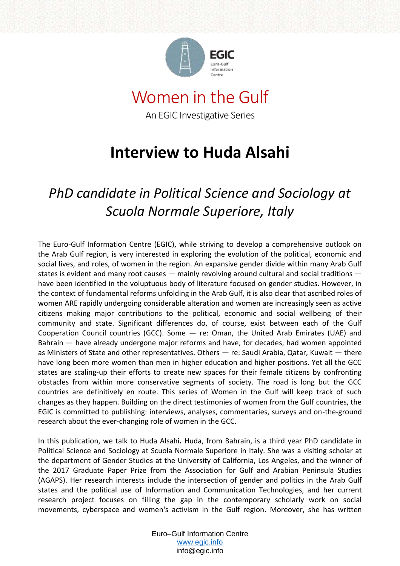

### Women in the Gulf An EGIC Investigative Series

# **Interview to Huda Alsahi**

## *PhD candidate in Political Science and Sociology at Scuola Normale Superiore, Italy*

The Euro-Gulf Information Centre (EGIC), while striving to develop a comprehensive outlook on the Arab Gulf region, is very interested in exploring the evolution of the political, economic and social lives, and roles, of women in the region. An expansive gender divide within many Arab Gulf states is evident and many root causes — mainly revolving around cultural and social traditions have been identified in the voluptuous body of literature focused on gender studies. However, in the context of fundamental reforms unfolding in the Arab Gulf, it is also clear that ascribed roles of women ARE rapidly undergoing considerable alteration and women are increasingly seen as active citizens making major contributions to the political, economic and social wellbeing of their community and state. Significant differences do, of course, exist between each of the Gulf Cooperation Council countries (GCC). Some — re: Oman, the United Arab Emirates (UAE) and Bahrain — have already undergone major reforms and have, for decades, had women appointed as Ministers of State and other representatives. Others — re: Saudi Arabia, Qatar, Kuwait — there have long been more women than men in higher education and higher positions. Yet all the GCC states are scaling-up their efforts to create new spaces for their female citizens by confronting obstacles from within more conservative segments of society. The road is long but the GCC countries are definitively en route. This series of Women in the Gulf will keep track of such changes as they happen. Building on the direct testimonies of women from the Gulf countries, the EGIC is committed to publishing: interviews, analyses, commentaries, surveys and on-the-ground research about the ever-changing role of women in the GCC.

In this publication, we talk to Huda Alsahi**.** Huda, from Bahrain, is a third year PhD candidate in Political Science and Sociology at Scuola Normale Superiore in Italy. She was a visiting scholar at the department of Gender Studies at the University of California, Los Angeles, and the winner of the 2017 Graduate Paper Prize from the Association for Gulf and Arabian Peninsula Studies (AGAPS). Her research interests include the intersection of gender and politics in the Arab Gulf states and the political use of Information and Communication Technologies, and her current research project focuses on filling the gap in the contemporary scholarly work on social movements, cyberspace and women's activism in the Gulf region. Moreover, she has written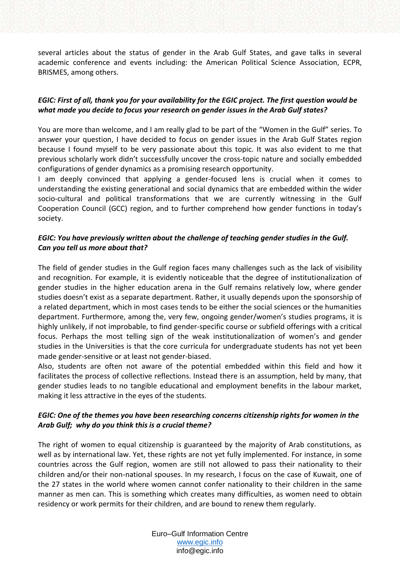several articles about the status of gender in the Arab Gulf States, and gave talks in several academic conference and events including: the American Political Science Association, ECPR, BRISMES, among others.

#### *EGIC: First of all, thank you for your availability for the EGIC project. The first question would be what made you decide to focus your research on gender issues in the Arab Gulf states?*

You are more than welcome, and I am really glad to be part of the "Women in the Gulf" series. To answer your question, I have decided to focus on gender issues in the Arab Gulf States region because I found myself to be very passionate about this topic. It was also evident to me that previous scholarly work didn't successfully uncover the cross-topic nature and socially embedded configurations of gender dynamics as a promising research opportunity.

I am deeply convinced that applying a gender-focused lens is crucial when it comes to understanding the existing generational and social dynamics that are embedded within the wider socio-cultural and political transformations that we are currently witnessing in the Gulf Cooperation Council (GCC) region, and to further comprehend how gender functions in today's society.

#### *EGIC: You have previously written about the challenge of teaching gender studies in the Gulf. Can you tell us more about that?*

The field of gender studies in the Gulf region faces many challenges such as the lack of visibility and recognition. For example, it is evidently noticeable that the degree of institutionalization of gender studies in the higher education arena in the Gulf remains relatively low, where gender studies doesn't exist as a separate department. Rather, it usually depends upon the sponsorship of a related department, which in most cases tends to be either the social sciences or the humanities department. Furthermore, among the, very few, ongoing gender/women's studies programs, it is highly unlikely, if not improbable, to find gender-specific course or subfield offerings with a critical focus. Perhaps the most telling sign of the weak institutionalization of women's and gender studies in the Universities is that the core curricula for undergraduate students has not yet been made gender-sensitive or at least not gender-biased.

Also, students are often not aware of the potential embedded within this field and how it facilitates the process of collective reflections. Instead there is an assumption, held by many, that gender studies leads to no tangible educational and employment benefits in the labour market, making it less attractive in the eyes of the students.

### *EGIC: One of the themes you have been researching concerns citizenship rights for women in the Arab Gulf; why do you think this is a crucial theme?*

The right of women to equal citizenship is guaranteed by the majority of Arab constitutions, as well as by international law. Yet, these rights are not yet fully implemented. For instance, in some countries across the Gulf region, women are still not allowed to pass their nationality to their children and/or their non-national spouses. In my research, I focus on the case of Kuwait, one of the 27 states in the world where women cannot confer nationality to their children in the same manner as men can. This is something which creates many difficulties, as women need to obtain residency or work permits for their children, and are bound to renew them regularly.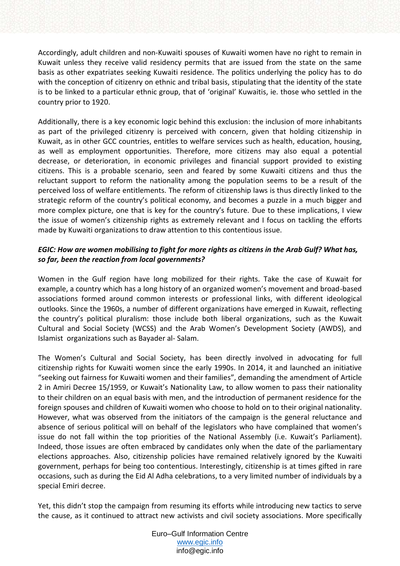Accordingly, adult children and non-Kuwaiti spouses of Kuwaiti women have no right to remain in Kuwait unless they receive valid residency permits that are issued from the state on the same basis as other expatriates seeking Kuwaiti residence. The politics underlying the policy has to do with the conception of citizenry on ethnic and tribal basis, stipulating that the identity of the state is to be linked to a particular ethnic group, that of 'original' Kuwaitis, ie. those who settled in the country prior to 1920.

Additionally, there is a key economic logic behind this exclusion: the inclusion of more inhabitants as part of the privileged citizenry is perceived with concern, given that holding citizenship in Kuwait, as in other GCC countries, entitles to welfare services such as health, education, housing, as well as employment opportunities. Therefore, more citizens may also equal a potential decrease, or deterioration, in economic privileges and financial support provided to existing citizens. This is a probable scenario, seen and feared by some Kuwaiti citizens and thus the reluctant support to reform the nationality among the population seems to be a result of the perceived loss of welfare entitlements. The reform of citizenship laws is thus directly linked to the strategic reform of the country's political economy, and becomes a puzzle in a much bigger and more complex picture, one that is key for the country's future. Due to these implications, I view the issue of women's citizenship rights as extremely relevant and I focus on tackling the efforts made by Kuwaiti organizations to draw attention to this contentious issue.

#### *EGIC: How are women mobilising to fight for more rights as citizens in the Arab Gulf? What has, so far, been the reaction from local governments?*

Women in the Gulf region have long mobilized for their rights. Take the case of Kuwait for example, a country which has a long history of an organized women's movement and broad-based associations formed around common interests or professional links, with different ideological outlooks. Since the 1960s, a number of different organizations have emerged in Kuwait, reflecting the country's political pluralism: those include both liberal organizations, such as the Kuwait Cultural and Social Society (WCSS) and the Arab Women's Development Society (AWDS), and Islamist organizations such as Bayader al- Salam.

The Women's Cultural and Social Society, has been directly involved in advocating for full citizenship rights for Kuwaiti women since the early 1990s. In 2014, it and launched an initiative "seeking out fairness for Kuwaiti women and their families", demanding the amendment of Article 2 in Amiri Decree 15/1959, or Kuwait's Nationality Law, to allow women to pass their nationality to their children on an equal basis with men, and the introduction of permanent residence for the foreign spouses and children of Kuwaiti women who choose to hold on to their original nationality. However, what was observed from the initiators of the campaign is the general reluctance and absence of serious political will on behalf of the legislators who have complained that women's issue do not fall within the top priorities of the National Assembly (i.e. Kuwait's Parliament). Indeed, those issues are often embraced by candidates only when the date of the parliamentary elections approaches. Also, citizenship policies have remained relatively ignored by the Kuwaiti government, perhaps for being too contentious. Interestingly, citizenship is at times gifted in rare occasions, such as during the Eid Al Adha celebrations, to a very limited number of individuals by a special Emiri decree.

Yet, this didn't stop the campaign from resuming its efforts while introducing new tactics to serve the cause, as it continued to attract new activists and civil society associations. More specifically